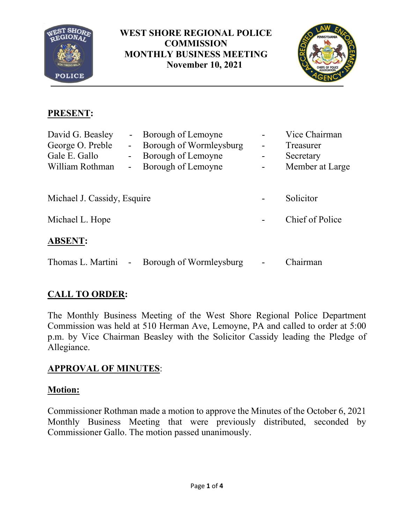

**WEST SHORE REGIONAL POLICE COMMISSION MONTHLY BUSINESS MEETING November 10, 2021**



## **PRESENT:**

| David G. Beasley            |                | - Borough of Lemoyne    |           | Vice Chairman   |
|-----------------------------|----------------|-------------------------|-----------|-----------------|
| George O. Preble            | $\blacksquare$ | Borough of Wormleysburg | -         | Treasurer       |
| Gale E. Gallo               | $\sim$         | Borough of Lemoyne      |           | Secretary       |
| William Rothman             | ٠              | Borough of Lemoyne      |           | Member at Large |
|                             |                |                         |           |                 |
| Michael J. Cassidy, Esquire |                |                         | Solicitor |                 |
| Michael L. Hope             |                |                         |           | Chief of Police |
| <b>ABSENT:</b>              |                |                         |           |                 |
| Thomas L. Martini           | $\blacksquare$ | Borough of Wormleysburg |           | Chairman        |

# **CALL TO ORDER:**

The Monthly Business Meeting of the West Shore Regional Police Department Commission was held at 510 Herman Ave, Lemoyne, PA and called to order at 5:00 p.m. by Vice Chairman Beasley with the Solicitor Cassidy leading the Pledge of Allegiance.

## **APPROVAL OF MINUTES**:

## **Motion:**

Commissioner Rothman made a motion to approve the Minutes of the October 6, 2021 Monthly Business Meeting that were previously distributed, seconded by Commissioner Gallo. The motion passed unanimously.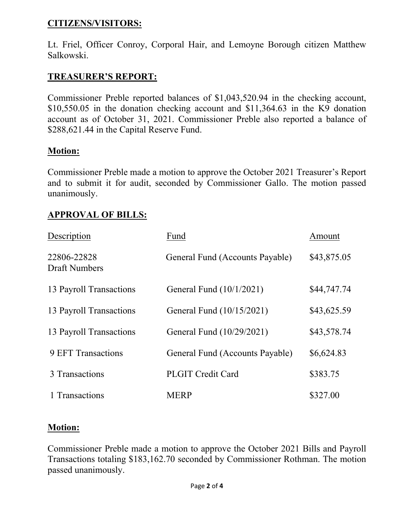#### **CITIZENS/VISITORS:**

Lt. Friel, Officer Conroy, Corporal Hair, and Lemoyne Borough citizen Matthew Salkowski.

### **TREASURER'S REPORT:**

Commissioner Preble reported balances of \$1,043,520.94 in the checking account, \$10,550.05 in the donation checking account and \$11,364.63 in the K9 donation account as of October 31, 2021. Commissioner Preble also reported a balance of \$288,621.44 in the Capital Reserve Fund.

#### **Motion:**

Commissioner Preble made a motion to approve the October 2021 Treasurer's Report and to submit it for audit, seconded by Commissioner Gallo. The motion passed unanimously.

### **APPROVAL OF BILLS:**

| Description                         | Fund                            | Amount      |
|-------------------------------------|---------------------------------|-------------|
| 22806-22828<br><b>Draft Numbers</b> | General Fund (Accounts Payable) | \$43,875.05 |
| 13 Payroll Transactions             | General Fund (10/1/2021)        | \$44,747.74 |
| 13 Payroll Transactions             | General Fund (10/15/2021)       | \$43,625.59 |
| 13 Payroll Transactions             | General Fund (10/29/2021)       | \$43,578.74 |
| <b>9 EFT Transactions</b>           | General Fund (Accounts Payable) | \$6,624.83  |
| 3 Transactions                      | <b>PLGIT Credit Card</b>        | \$383.75    |
| 1 Transactions                      | <b>MERP</b>                     | \$327.00    |

#### **Motion:**

Commissioner Preble made a motion to approve the October 2021 Bills and Payroll Transactions totaling \$183,162.70 seconded by Commissioner Rothman. The motion passed unanimously.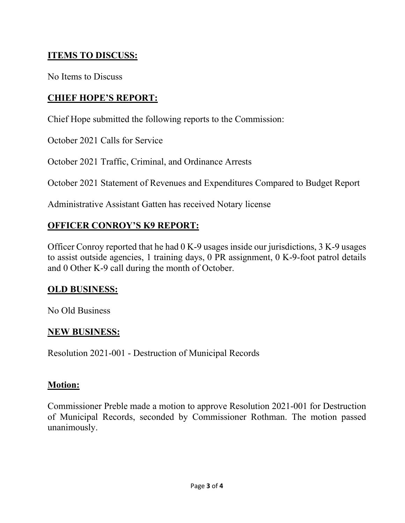## **ITEMS TO DISCUSS:**

No Items to Discuss

### **CHIEF HOPE'S REPORT:**

Chief Hope submitted the following reports to the Commission:

October 2021 Calls for Service

October 2021 Traffic, Criminal, and Ordinance Arrests

October 2021 Statement of Revenues and Expenditures Compared to Budget Report

Administrative Assistant Gatten has received Notary license

## **OFFICER CONROY'S K9 REPORT:**

Officer Conroy reported that he had 0 K-9 usages inside our jurisdictions, 3 K-9 usages to assist outside agencies, 1 training days, 0 PR assignment, 0 K-9-foot patrol details and 0 Other K-9 call during the month of October.

#### **OLD BUSINESS:**

No Old Business

#### **NEW BUSINESS:**

Resolution 2021-001 - Destruction of Municipal Records

#### **Motion:**

Commissioner Preble made a motion to approve Resolution 2021-001 for Destruction of Municipal Records, seconded by Commissioner Rothman. The motion passed unanimously.